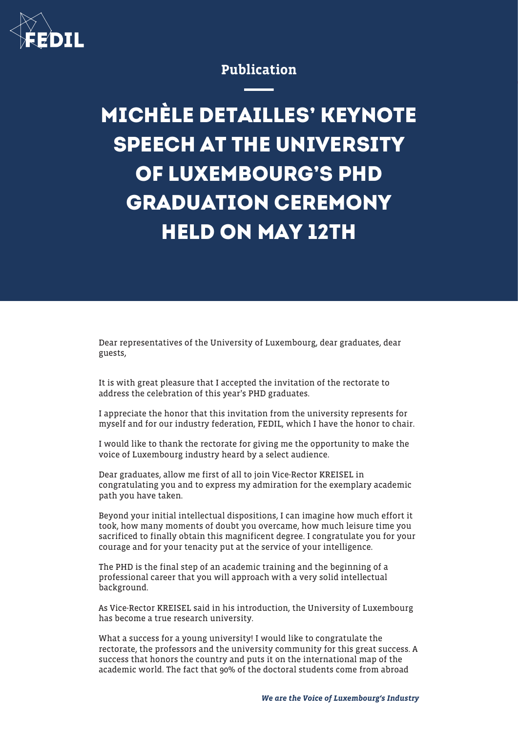

## Publication

## **MICHÈLE DETAILLES' KEYNOTE SPEECH AT THE UNIVERSITY OF LUXEMBOURG'S PHD GRADUATION CEREMONY HELD ON MAY 12TH**

Dear representatives of the University of Luxembourg, dear graduates, dear guests,

It is with great pleasure that I accepted the invitation of the rectorate to address the celebration of this year's PHD graduates.

I appreciate the honor that this invitation from the university represents for myself and for our industry federation, FEDIL, which I have the honor to chair.

I would like to thank the rectorate for giving me the opportunity to make the voice of Luxembourg industry heard by a select audience.

Dear graduates, allow me first of all to join Vice-Rector KREISEL in congratulating you and to express my admiration for the exemplary academic path you have taken.

Beyond your initial intellectual dispositions, I can imagine how much effort it took, how many moments of doubt you overcame, how much leisure time you sacrificed to finally obtain this magnificent degree. I congratulate you for your courage and for your tenacity put at the service of your intelligence.

The PHD is the final step of an academic training and the beginning of a professional career that you will approach with a very solid intellectual background.

As Vice-Rector KREISEL said in his introduction, the University of Luxembourg has become a true research university.

What a success for a young university! I would like to congratulate the rectorate, the professors and the university community for this great success. A success that honors the country and puts it on the international map of the academic world. The fact that 90% of the doctoral students come from abroad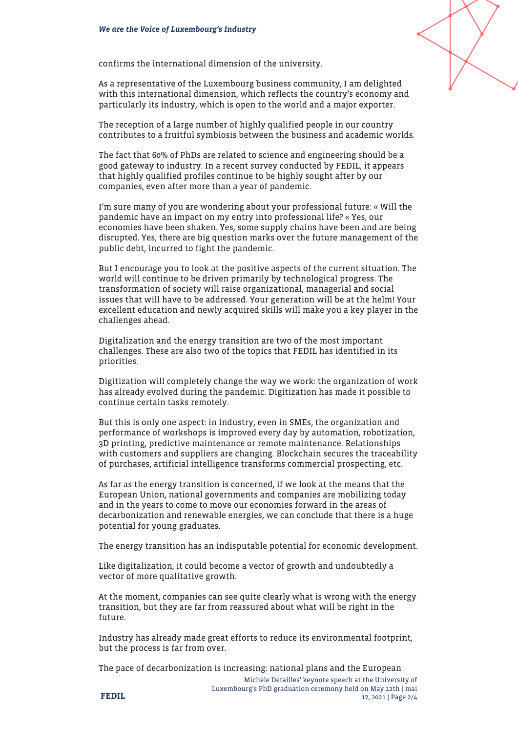

As a representative of the Luxembourg business community, I am delighted with this international dimension, which reflects the country's economy and particularly its industry, which is open to the world and a major exporter.

The reception of a large number of highly qualified people in our country contributes to a fruitful symbiosis between the business and academic worlds.

The fact that 60% of PhDs are related to science and engineering should be a good gateway to industry. In a recent survey conducted by FEDIL, it appears that highly qualified profiles continue to be highly sought after by our companies, even after more than a year of pandemic.

I'm sure many of you are wondering about your professional future: « Will the pandemic have an impact on my entry into professional life? « Yes, our economies have been shaken. Yes, some supply chains have been and are being disrupted. Yes, there are big question marks over the future management of the public debt, incurred to fight the pandemic.

But I encourage you to look at the positive aspects of the current situation. The world will continue to be driven primarily by technological progress. The transformation of society will raise organizational, managerial and social issues that will have to be addressed. Your generation will be at the helm! Your excellent education and newly acquired skills will make you a key player in the challenges ahead.

Digitalization and the energy transition are two of the most important challenges. These are also two of the topics that FEDIL has identified in its priorities.

Digitization will completely change the way we work: the organization of work has already evolved during the pandemic. Digitization has made it possible to continue certain tasks remotely.

But this is only one aspect: in industry, even in SMEs, the organization and performance of workshops is improved every day by automation, robotization, 3D printing, predictive maintenance or remote maintenance. Relationships with customers and suppliers are changing. Blockchain secures the traceability of purchases, artificial intelligence transforms commercial prospecting, etc.

As far as the energy transition is concerned, if we look at the means that the European Union, national governments and companies are mobilizing today and in the years to come to move our economies forward in the areas of decarbonization and renewable energies, we can conclude that there is a huge potential for young graduates.

The energy transition has an indisputable potential for economic development.

Like digitalization, it could become a vector of growth and undoubtedly a vector of more qualitative growth.

At the moment, companies can see quite clearly what is wrong with the energy transition, but they are far from reassured about what will be right in the future.

Industry has already made great efforts to reduce its environmental footprint, but the process is far from over.

The pace of decarbonization is increasing: national plans and the European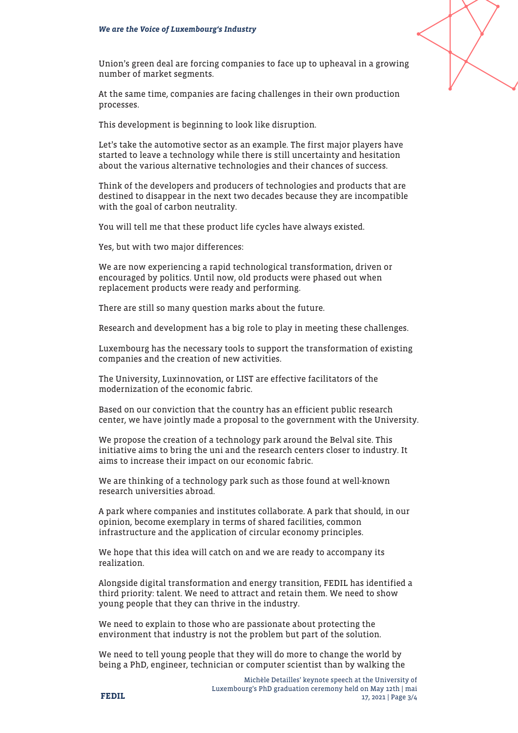

Union's green deal are forcing companies to face up to upheaval in a growing number of market segments.

At the same time, companies are facing challenges in their own production processes.

This development is beginning to look like disruption.

Let's take the automotive sector as an example. The first major players have started to leave a technology while there is still uncertainty and hesitation about the various alternative technologies and their chances of success.

Think of the developers and producers of technologies and products that are destined to disappear in the next two decades because they are incompatible with the goal of carbon neutrality.

You will tell me that these product life cycles have always existed.

Yes, but with two major differences:

We are now experiencing a rapid technological transformation, driven or encouraged by politics. Until now, old products were phased out when replacement products were ready and performing.

There are still so many question marks about the future.

Research and development has a big role to play in meeting these challenges.

Luxembourg has the necessary tools to support the transformation of existing companies and the creation of new activities.

The University, Luxinnovation, or LIST are effective facilitators of the modernization of the economic fabric.

Based on our conviction that the country has an efficient public research center, we have jointly made a proposal to the government with the University.

We propose the creation of a technology park around the Belval site. This initiative aims to bring the uni and the research centers closer to industry. It aims to increase their impact on our economic fabric.

We are thinking of a technology park such as those found at well-known research universities abroad.

A park where companies and institutes collaborate. A park that should, in our opinion, become exemplary in terms of shared facilities, common infrastructure and the application of circular economy principles.

We hope that this idea will catch on and we are ready to accompany its realization.

Alongside digital transformation and energy transition, FEDIL has identified a third priority: talent. We need to attract and retain them. We need to show young people that they can thrive in the industry.

We need to explain to those who are passionate about protecting the environment that industry is not the problem but part of the solution.

We need to tell young people that they will do more to change the world by being a PhD, engineer, technician or computer scientist than by walking the